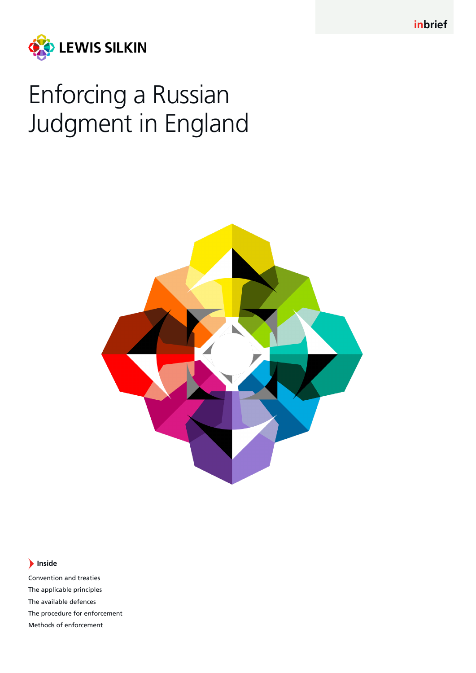**inbrief**



# Enforcing a Russian Judgment in England



# **Inside**

Convention and treaties The applicable principles The available defences The procedure for enforcement Methods of enforcement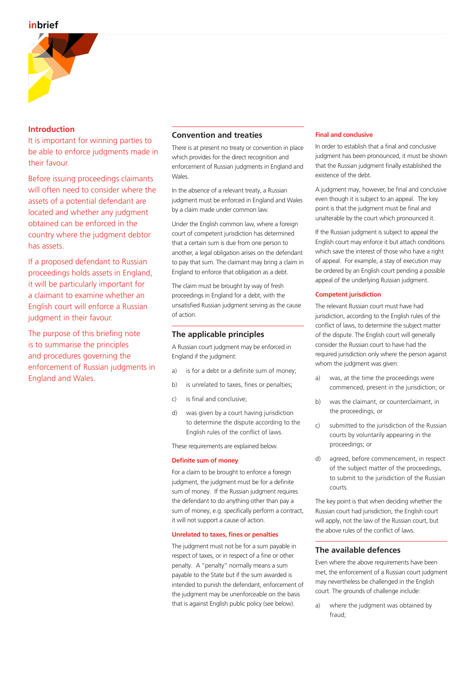

## **Introduction**

It is important for winning parties to be able to enforce judgments made in their favour.

Before issuing proceedings claimants will often need to consider where the assets of a potential defendant are located and whether any judgment obtained can be enforced in the country where the judgment debtor has assets.

If a proposed defendant to Russian proceedings holds assets in England, it will be particularly important for a claimant to examine whether an English court will enforce a Russian judgment in their favour.

The purpose of this briefing note is to summarise the principles and procedures governing the enforcement of Russian judgments in England and Wales.

# **Convention and treaties**

There is at present no treaty or convention in place which provides for the direct recognition and enforcement of Russian judgments in England and Wales.

In the absence of a relevant treaty, a Russian judgment must be enforced in England and Wales by a claim made under common law.

Under the English common law, where a foreign court of competent jurisdiction has determined that a certain sum is due from one person to another, a legal obligation arises on the defendant to pay that sum. The claimant may bring a claim in England to enforce that obligation as a debt.

The claim must be brought by way of fresh proceedings in England for a debt, with the unsatisfied Russian judgment serving as the cause of action.

# **The applicable principles**

A Russian court judgment may be enforced in England if the judgment:

- a) is for a debt or a definite sum of money;
- b) is unrelated to taxes, fines or penalties;
- c) is final and conclusive;
- d) was given by a court having jurisdiction to determine the dispute according to the English rules of the conflict of laws.

These requirements are explained below.

## **Definite sum of money**

For a claim to be brought to enforce a foreign judgment, the judgment must be for a definite sum of money. If the Russian judgment requires the defendant to do anything other than pay a sum of money, e.g. specifically perform a contract, it will not support a cause of action.

## **Unrelated to taxes, fines or penalties**

The judgment must not be for a sum payable in respect of taxes, or in respect of a fine or other penalty. A "penalty" normally means a sum payable to the State but if the sum awarded is intended to punish the defendant, enforcement of the judgment may be unenforceable on the basis that is against English public policy (see below).

## **Final and conclusive**

In order to establish that a final and conclusive judgment has been pronounced, it must be shown that the Russian judgment finally established the existence of the debt.

A judgment may, however, be final and conclusive even though it is subject to an appeal. The key point is that the judgment must be final and unalterable by the court which pronounced it.

If the Russian judgment is subject to appeal the English court may enforce it but attach conditions which save the interest of those who have a right of appeal. For example, a stay of execution may be ordered by an English court pending a possible appeal of the underlying Russian judgment.

## **Competent jurisdiction**

The relevant Russian court must have had jurisdiction, according to the English rules of the conflict of laws, to determine the subject matter of the dispute. The English court will generally consider the Russian court to have had the required jurisdiction only where the person against whom the judgment was given:

- a) was, at the time the proceedings were commenced, present in the jurisdiction; or
- b) was the claimant, or counterclaimant, in the proceedings; or
- c) submitted to the jurisdiction of the Russian courts by voluntarily appearing in the proceedings; or
- d) agreed, before commencement, in respect of the subject matter of the proceedings, to submit to the jurisdiction of the Russian courts.

The key point is that when deciding whether the Russian court had jurisdiction, the English court will apply, not the law of the Russian court, but the above rules of the conflict of laws.

## **The available defences**

Even where the above requirements have been met, the enforcement of a Russian court judgment may nevertheless be challenged in the English court. The grounds of challenge include:

a) where the judgment was obtained by fraud;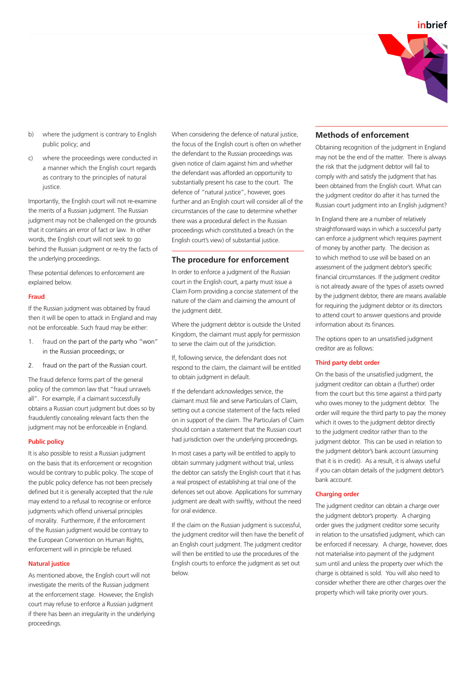

- b) where the judgment is contrary to English public policy; and
- c) where the proceedings were conducted in a manner which the English court regards as contrary to the principles of natural justice.

Importantly, the English court will not re-examine the merits of a Russian judgment. The Russian judgment may not be challenged on the grounds that it contains an error of fact or law. In other words, the English court will not seek to go behind the Russian judgment or re-try the facts of the underlying proceedings.

These potential defences to enforcement are explained below.

#### **Fraud**

If the Russian judgment was obtained by fraud then it will be open to attack in England and may not be enforceable. Such fraud may be either:

- 1. fraud on the part of the party who "won" in the Russian proceedings; or
- 2. fraud on the part of the Russian court.

The fraud defence forms part of the general policy of the common law that "fraud unravels all". For example, if a claimant successfully obtains a Russian court judgment but does so by fraudulently concealing relevant facts then the judgment may not be enforceable in England.

#### **Public policy**

It is also possible to resist a Russian judgment on the basis that its enforcement or recognition would be contrary to public policy. The scope of the public policy defence has not been precisely defined but it is generally accepted that the rule may extend to a refusal to recognise or enforce judgments which offend universal principles of morality. Furthermore, if the enforcement of the Russian judgment would be contrary to the European Convention on Human Rights, enforcement will in principle be refused.

### **Natural justice**

As mentioned above, the English court will not investigate the merits of the Russian judgment at the enforcement stage. However, the English court may refuse to enforce a Russian judgment if there has been an irregularity in the underlying proceedings.

When considering the defence of natural justice, the focus of the English court is often on whether the defendant to the Russian proceedings was given notice of claim against him and whether the defendant was afforded an opportunity to substantially present his case to the court. The defence of "natural justice", however, goes further and an English court will consider all of the circumstances of the case to determine whether there was a procedural defect in the Russian proceedings which constituted a breach (in the English court's view) of substantial justice.

#### **The procedure for enforcement**

In order to enforce a judgment of the Russian court in the English court, a party must issue a Claim Form providing a concise statement of the nature of the claim and claiming the amount of the judgment debt.

Where the judgment debtor is outside the United Kingdom, the claimant must apply for permission to serve the claim out of the jurisdiction.

If, following service, the defendant does not respond to the claim, the claimant will be entitled to obtain judgment in default.

If the defendant acknowledges service, the claimant must file and serve Particulars of Claim, setting out a concise statement of the facts relied on in support of the claim. The Particulars of Claim should contain a statement that the Russian court had jurisdiction over the underlying proceedings.

In most cases a party will be entitled to apply to obtain summary judgment without trial, unless the debtor can satisfy the English court that it has a real prospect of establishing at trial one of the defences set out above. Applications for summary judgment are dealt with swiftly, without the need for oral evidence.

If the claim on the Russian judgment is successful, the judgment creditor will then have the benefit of an English court judgment. The judgment creditor will then be entitled to use the procedures of the English courts to enforce the judgment as set out below.

# **Methods of enforcement**

Obtaining recognition of the judgment in England may not be the end of the matter. There is always the risk that the judgment debtor will fail to comply with and satisfy the judgment that has been obtained from the English court. What can the judgment creditor do after it has turned the Russian court judgment into an English judgment?

In England there are a number of relatively straightforward ways in which a successful party can enforce a judgment which requires payment of money by another party. The decision as to which method to use will be based on an assessment of the judgment debtor's specific financial circumstances. If the judgment creditor is not already aware of the types of assets owned by the judgment debtor, there are means available for requiring the judgment debtor or its directors to attend court to answer questions and provide information about its finances.

The options open to an unsatisfied judgment creditor are as follows:

#### **Third party debt order**

On the basis of the unsatisfied judgment, the judgment creditor can obtain a (further) order from the court but this time against a third party who owes money to the judgment debtor. The order will require the third party to pay the money which it owes to the judgment debtor directly to the judgment creditor rather than to the judgment debtor. This can be used in relation to the judgment debtor's bank account (assuming that it is in credit). As a result, it is always useful if you can obtain details of the judgment debtor's bank account.

#### **Charging order**

The judgment creditor can obtain a charge over the judgment debtor's property. A charging order gives the judgment creditor some security in relation to the unsatisfied judgment, which can be enforced if necessary. A charge, however, does not materialise into payment of the judgment sum until and unless the property over which the charge is obtained is sold. You will also need to consider whether there are other charges over the property which will take priority over yours.